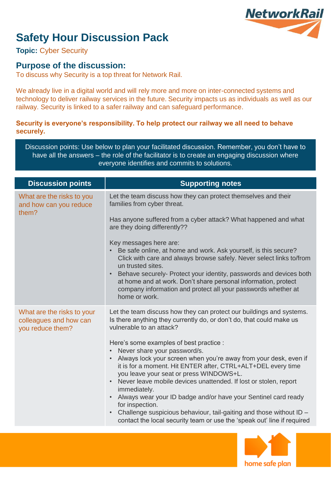

# **Safety Hour Discussion Pack**

**Topic:** Cyber Security

### **Purpose of the discussion:**

To discuss why Security is a top threat for Network Rail.

We already live in a digital world and will rely more and more on inter-connected systems and technology to deliver railway services in the future. Security impacts us as individuals as well as our railway. Security is linked to a safer railway and can safeguard performance.

#### **Security is everyone's responsibility. To help protect our railway we all need to behave securely.**

Discussion points: Use below to plan your facilitated discussion. Remember, you don't have to have all the answers – the role of the facilitator is to create an engaging discussion where everyone identifies and commits to solutions.

| <b>Discussion points</b>                                                 | <b>Supporting notes</b>                                                                                                                                                                                                                                                                                                                                                                                                            |  |  |
|--------------------------------------------------------------------------|------------------------------------------------------------------------------------------------------------------------------------------------------------------------------------------------------------------------------------------------------------------------------------------------------------------------------------------------------------------------------------------------------------------------------------|--|--|
| What are the risks to you<br>and how can you reduce<br>them?             | Let the team discuss how they can protect themselves and their<br>families from cyber threat.                                                                                                                                                                                                                                                                                                                                      |  |  |
|                                                                          | Has anyone suffered from a cyber attack? What happened and what<br>are they doing differently??                                                                                                                                                                                                                                                                                                                                    |  |  |
|                                                                          | Key messages here are:<br>Be safe online, at home and work. Ask yourself, is this secure?<br>Click with care and always browse safely. Never select links to/from<br>un trusted sites.<br>• Behave securely- Protect your identity, passwords and devices both<br>at home and at work. Don't share personal information, protect<br>company information and protect all your passwords whether at<br>home or work.                 |  |  |
| What are the risks to your<br>colleagues and how can<br>you reduce them? | Let the team discuss how they can protect our buildings and systems.<br>Is there anything they currently do, or don't do, that could make us<br>vulnerable to an attack?<br>Here's some examples of best practice :<br>Never share your password/s.<br>Always lock your screen when you're away from your desk, even if<br>it is for a moment. Hit ENTER after, CTRL+ALT+DEL every time<br>you leave your seat or press WINDOWS+L. |  |  |
|                                                                          | Never leave mobile devices unattended. If lost or stolen, report<br>$\bullet$<br>immediately.<br>Always wear your ID badge and/or have your Sentinel card ready<br>for inspection.<br>Challenge suspicious behaviour, tail-gaiting and those without ID -<br>$\bullet$<br>contact the local security team or use the 'speak out' line if required                                                                                  |  |  |
|                                                                          |                                                                                                                                                                                                                                                                                                                                                                                                                                    |  |  |